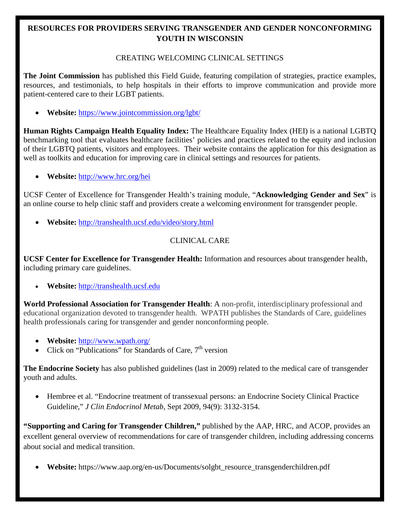# **RESOURCES FOR PROVIDERS SERVING TRANSGENDER AND GENDER NONCONFORMING YOUTH IN WISCONSIN**

### CREATING WELCOMING CLINICAL SETTINGS

**The Joint Commission** has published this Field Guide, featuring compilation of strategies, practice examples, resources, and testimonials, to help hospitals in their efforts to improve communication and provide more patient-centered care to their LGBT patients.

• **Website:** <https://www.jointcommission.org/lgbt/>

**Human Rights Campaign Health Equality Index:** The Healthcare Equality Index (HEI) is a national LGBTQ benchmarking tool that evaluates healthcare facilities' policies and practices related to the equity and inclusion of their LGBTQ patients, visitors and employees. Their website contains the application for this designation as well as toolkits and education for improving care in clinical settings and resources for patients.

• **Website:** <http://www.hrc.org/hei>

UCSF Center of Excellence for Transgender Health's training module, "**Acknowledging Gender and Sex**" is an online course to help clinic staff and providers create a welcoming environment for transgender people.

• **Website:** <http://transhealth.ucsf.edu/video/story.html>

# CLINICAL CARE

**UCSF Center for Excellence for Transgender Health:** Information and resources about transgender health, including primary care guidelines.

• **Website:** [http://transhealth.ucsf.edu](http://transhealth.ucsf.edu/)

**World Professional Association for Transgender Health**: A non-profit, interdisciplinary professional and educational organization devoted to transgender health. WPATH publishes the Standards of Care, guidelines health professionals caring for transgender and gender nonconforming people.

- **Website:** <http://www.wpath.org/>
- Click on "Publications" for Standards of Care,  $7<sup>th</sup>$  version

**The Endocrine Society** has also published guidelines (last in 2009) related to the medical care of transgender youth and adults.

• Hembree et al. "Endocrine treatment of transsexual persons: an Endocrine Society Clinical Practice Guideline," *J Clin Endocrinol Metab*, Sept 2009, 94(9): 3132-3154.

**"Supporting and Caring for Transgender Children,"** published by the AAP, HRC, and ACOP, provides an excellent general overview of recommendations for care of transgender children, including addressing concerns about social and medical transition.

• **Website:** https://www.aap.org/en-us/Documents/solgbt\_resource\_transgenderchildren.pdf